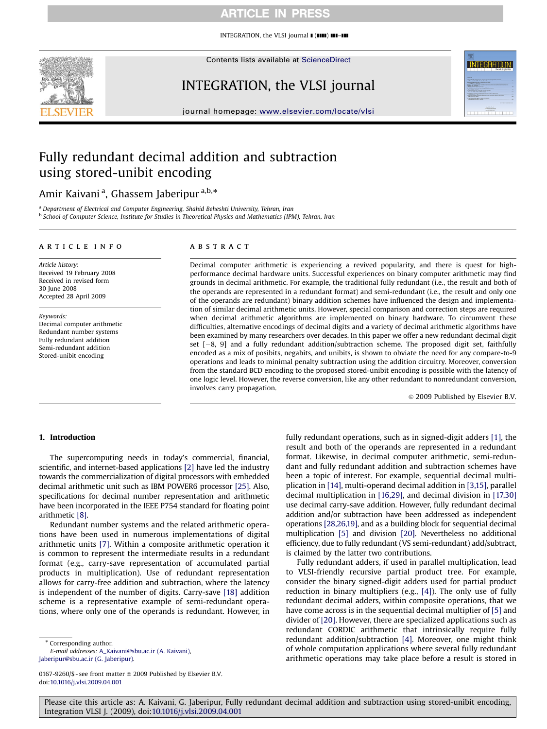### ARTICLE IN PRESS

INTEGRATION, the VLSI journal  $\blacksquare$  ( $\blacksquare\blacksquare$ )  $\blacksquare\blacksquare-\blacksquare\blacksquare$ 



Contents lists available at [ScienceDirect](www.sciencedirect.com/science/journal/vlsi)

# INTEGRATION, the VLSI journal



journal homepage: <www.elsevier.com/locate/vlsi>

# Fully redundant decimal addition and subtraction using stored-unibit encoding

## Amir Kaivani<sup>a</sup>, Ghassem Jaberipur<sup>a,b,</sup>\*

<sup>a</sup> Department of Electrical and Computer Engineering, Shahid Beheshti University, Tehran, Iran <sup>b</sup> School of Computer Science, Institute for Studies in Theoretical Physics and Mathematics (IPM), Tehran, Iran

#### article info

Article history: Received 19 February 2008 Received in revised form 30 June 2008 Accepted 28 April 2009

Keywords: Decimal computer arithmetic Redundant number systems Fully redundant addition Semi-redundant addition Stored-unibit encoding

#### ABSTRACT

Decimal computer arithmetic is experiencing a revived popularity, and there is quest for highperformance decimal hardware units. Successful experiences on binary computer arithmetic may find grounds in decimal arithmetic. For example, the traditional fully redundant (i.e., the result and both of the operands are represented in a redundant format) and semi-redundant (i.e., the result and only one of the operands are redundant) binary addition schemes have influenced the design and implementation of similar decimal arithmetic units. However, special comparison and correction steps are required when decimal arithmetic algorithms are implemented on binary hardware. To circumvent these difficulties, alternative encodings of decimal digits and a variety of decimal arithmetic algorithms have been examined by many researchers over decades. In this paper we offer a new redundant decimal digit set [-8, 9] and a fully redundant addition/subtraction scheme. The proposed digit set, faithfully encoded as a mix of posibits, negabits, and unibits, is shown to obviate the need for any compare-to-9 operations and leads to minimal penalty subtraction using the addition circuitry. Moreover, conversion from the standard BCD encoding to the proposed stored-unibit encoding is possible with the latency of one logic level. However, the reverse conversion, like any other redundant to nonredundant conversion, involves carry propagation.

 $\odot$  2009 Published by Elsevier B.V.

#### 1. Introduction

The supercomputing needs in today's commercial, financial, scientific, and internet-based applications [\[2\]](#page-7-0) have led the industry towards the commercialization of digital processors with embedded decimal arithmetic unit such as IBM POWER6 processor [\[25\]](#page-7-0). Also, specifications for decimal number representation and arithmetic have been incorporated in the IEEE P754 standard for floating point arithmetic [\[8\]](#page-7-0).

Redundant number systems and the related arithmetic operations have been used in numerous implementations of digital arithmetic units [\[7\]](#page-7-0). Within a composite arithmetic operation it is common to represent the intermediate results in a redundant format (e.g., carry-save representation of accumulated partial products in multiplication). Use of redundant representation allows for carry-free addition and subtraction, where the latency is independent of the number of digits. Carry-save [\[18\]](#page-7-0) addition scheme is a representative example of semi-redundant operations, where only one of the operands is redundant. However, in

\* Corresponding author.

E-mail addresses: [A\\_Kaivani@sbu.ac.ir \(A. Kaivani\),](mailto:A_Kaivani@sbu.ac.ir) [Jaberipur@sbu.ac.ir \(G. Jaberipur\).](mailto:Jaberipur@sbu.ac.ir)

0167-9260/\$ - see front matter  $\odot$  2009 Published by Elsevier B.V. doi:[10.1016/j.vlsi.2009.04.001](dx.doi.org/10.1016/j.vlsi.2009.04.001)

fully redundant operations, such as in signed-digit adders [\[1\],](#page-7-0) the result and both of the operands are represented in a redundant format. Likewise, in decimal computer arithmetic, semi-redundant and fully redundant addition and subtraction schemes have been a topic of interest. For example, sequential decimal multiplication in [\[14\],](#page-7-0) multi-operand decimal addition in [\[3,15\]](#page-7-0), parallel decimal multiplication in [\[16,29\],](#page-7-0) and decimal division in [\[17,30\]](#page-7-0) use decimal carry-save addition. However, fully redundant decimal addition and/or subtraction have been addressed as independent operations [\[28,26,19\]](#page-7-0), and as a building block for sequential decimal multiplication [\[5\]](#page-7-0) and division [\[20\].](#page-7-0) Nevertheless no additional efficiency, due to fully redundant (VS semi-redundant) add/subtract, is claimed by the latter two contributions.

Fully redundant adders, if used in parallel multiplication, lead to VLSI-friendly recursive partial product tree. For example, consider the binary signed-digit adders used for partial product reduction in binary multipliers (e.g., [\[4\]](#page-7-0)). The only use of fully redundant decimal adders, within composite operations, that we have come across is in the sequential decimal multiplier of [\[5\]](#page-7-0) and divider of [\[20\]](#page-7-0). However, there are specialized applications such as redundant CORDIC arithmetic that intrinsically require fully redundant addition/subtraction [\[4\].](#page-7-0) Moreover, one might think of whole computation applications where several fully redundant arithmetic operations may take place before a result is stored in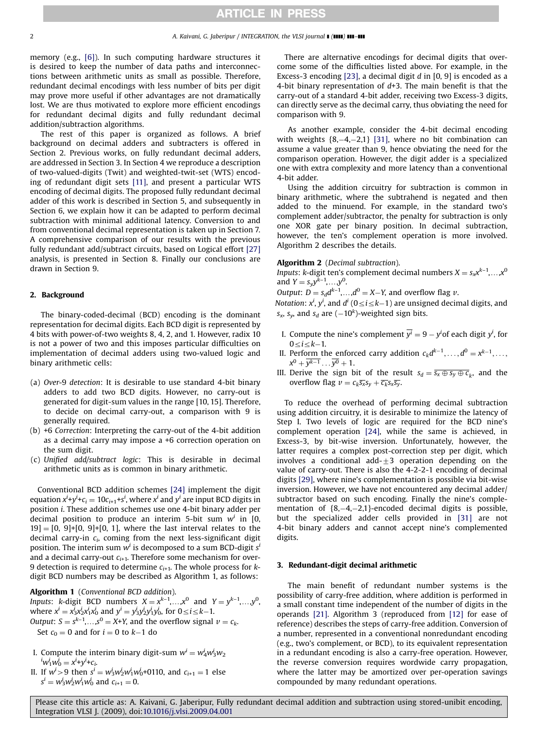memory (e.g., [\[6\]](#page-7-0)). In such computing hardware structures it is desired to keep the number of data paths and interconnections between arithmetic units as small as possible. Therefore, redundant decimal encodings with less number of bits per digit may prove more useful if other advantages are not dramatically lost. We are thus motivated to explore more efficient encodings for redundant decimal digits and fully redundant decimal addition/subtraction algorithms.

The rest of this paper is organized as follows. A brief background on decimal adders and subtracters is offered in Section 2. Previous works, on fully redundant decimal adders, are addressed in Section 3. In Section 4 we reproduce a description of two-valued-digits (Twit) and weighted-twit-set (WTS) encoding of redundant digit sets [\[11\]](#page-7-0), and present a particular WTS encoding of decimal digits. The proposed fully redundant decimal adder of this work is described in Section 5, and subsequently in Section 6, we explain how it can be adapted to perform decimal subtraction with minimal additional latency. Conversion to and from conventional decimal representation is taken up in Section 7. A comprehensive comparison of our results with the previous fully redundant add/subtract circuits, based on Logical effort [\[27\]](#page-7-0) analysis, is presented in Section 8. Finally our conclusions are drawn in Section 9.

#### 2. Background

The binary-coded-decimal (BCD) encoding is the dominant representation for decimal digits. Each BCD digit is represented by 4 bits with power-of-two weights 8, 4, 2, and 1. However, radix 10 is not a power of two and this imposes particular difficulties on implementation of decimal adders using two-valued logic and binary arithmetic cells:

- (a) Over-9 detection: It is desirable to use standard 4-bit binary adders to add two BCD digits. However, no carry-out is generated for digit-sum values in the range [10, 15]. Therefore, to decide on decimal carry-out, a comparison with 9 is generally required.
- (b) +6 Correction: Interpreting the carry-out of the 4-bit addition as a decimal carry may impose a +6 correction operation on the sum digit.
- (c) Unified add/subtract logic: This is desirable in decimal arithmetic units as is common in binary arithmetic.

Conventional BCD addition schemes [\[24\]](#page-7-0) implement the digit equation  $x^i$ +y $^i$ + $c_i = 10c_{i+1}$ +s $^i$ , where  $x^i$  and  $y^i$  are input BCD digits in position i. These addition schemes use one 4-bit binary adder per decimal position to produce an interim 5-bit sum  $w^i$  in [0,  $[19] = [0, 9]+[0, 9]+[0, 1]$ , where the last interval relates to the decimal carry-in  $c_i$ , coming from the next less-significant digit position. The interim sum  $w^i$  is decomposed to a sum BCD-digit  $s^i$ and a decimal carry-out  $c_{i+1}$ . Therefore some mechanism for over-9 detection is required to determine  $c_{i+1}$ . The whole process for  $k$ digit BCD numbers may be described as Algorithm 1, as follows:

Algorithm 1 (Conventional BCD addition). Inputs: k-digit BCD numbers  $X = x^{k-1},...,x^0$  and  $Y = y^{k-1},...,y^0$ , where  $x^i = x^i_3 x^i_2 x^i_1 x^i_0$  and  $y^i = y^i_3 y^i_2 y^i_1 y^i_0$ , for  $0 \le i \le k-1$ . *Output*:  $S = s^{k-1},...,s^0 = X+Y$ , and the overflow signal  $\nu = c_k$ . Set  $c_0 = 0$  and for  $i = 0$  to  $k-1$  do

- I. Compute the interim binary digit-sum  $w^i = w^i_4w^i_3w_2$  ${}^{i}w_{1}^{i}w_{0}^{i} = x^{i}+y^{i}+c_{i}.$
- II. If  $w^i > 9$  then  $s^i = w^i_3 w^i_2 w^i_1 w^i_0 + 0110$ , and  $c_{i+1} = 1$  else  $s^i = w^i_3 w^i_2 w^i_1 w^i_0$  and  $c_{i+1} = 0$ .

There are alternative encodings for decimal digits that overcome some of the difficulties listed above. For example, in the Excess-3 encoding [\[23\]](#page-7-0), a decimal digit d in [0, 9] is encoded as a 4-bit binary representation of  $d+3$ . The main benefit is that the carry-out of a standard 4-bit adder, receiving two Excess-3 digits, can directly serve as the decimal carry, thus obviating the need for comparison with 9.

As another example, consider the 4-bit decimal encoding with weights  $\{8, -4, -2, 1\}$  [\[31\],](#page-7-0) where no bit combination can assume a value greater than 9, hence obviating the need for the comparison operation. However, the digit adder is a specialized one with extra complexity and more latency than a conventional 4-bit adder.

Using the addition circuitry for subtraction is common in binary arithmetic, where the subtrahend is negated and then added to the minuend. For example, in the standard two's complement adder/subtractor, the penalty for subtraction is only one XOR gate per binary position. In decimal subtraction, however, the ten's complement operation is more involved. Algorithm 2 describes the details.

#### Algorithm 2 (Decimal subtraction).

*Inputs: k*-digit ten's complement decimal numbers  $X = s_x x^{k-1},...,x^0$ and  $Y = s_y y^{k-1}, \ldots, y^0$ .

Output:  $D = s_d d^{k-1}, \ldots, d^0 = X - Y$ , and overflow flag  $\nu$ .

Notation:  $x^i$ ,  $y^i$ , and  $d^i$  ( $0 \le i \le k-1$ ) are unsigned decimal digits, and  $s_x$ ,  $s_y$ , and  $s_d$  are  $(-10^k)$ -weighted sign bits.

- I. Compute the nine's complement  $\overline{y^i} = 9 y^i$  each digit  $y^i$ , for  $0 \leq i \leq k-1$ .
- II. Perform the enforced carry addition  $c_k d^{k-1}, \ldots, d^0 = x^{k-1}, \ldots,$  $x^0 + y^{k-1} \dots \overline{y^0} + 1.$
- III. Derive the sign bit of the result  $s_d = \overline{s_x \oplus s_y \oplus c_k}$ , and the overflow flag  $v = c_k \overline{s_x} s_y + \overline{c_k} s_x \overline{s_y}$ .

To reduce the overhead of performing decimal subtraction using addition circuitry, it is desirable to minimize the latency of Step I. Two levels of logic are required for the BCD nine's complement operation [\[24\]](#page-7-0), while the same is achieved, in Excess-3, by bit-wise inversion. Unfortunately, however, the latter requires a complex post-correction step per digit, which involves a conditional add- $\pm 3$  operation depending on the value of carry-out. There is also the 4-2-2-1 encoding of decimal digits [\[29\],](#page-7-0) where nine's complementation is possible via bit-wise inversion. However, we have not encountered any decimal adder/ subtractor based on such encoding. Finally the nine's complementation of  ${8, -4, -2, 1}$ -encoded decimal digits is possible, but the specialized adder cells provided in [\[31\]](#page-7-0) are not 4-bit binary adders and cannot accept nine's complemented digits.

#### 3. Redundant-digit decimal arithmetic

The main benefit of redundant number systems is the possibility of carry-free addition, where addition is performed in a small constant time independent of the number of digits in the operands [\[21\].](#page-7-0) Algorithm 3 (reproduced from [\[12\]](#page-7-0) for ease of reference) describes the steps of carry-free addition. Conversion of a number, represented in a conventional nonredundant encoding (e.g., two's complement, or BCD), to its equivalent representation in a redundant encoding is also a carry-free operation. However, the reverse conversion requires wordwide carry propagation, where the latter may be amortized over per-operation savings compounded by many redundant operations.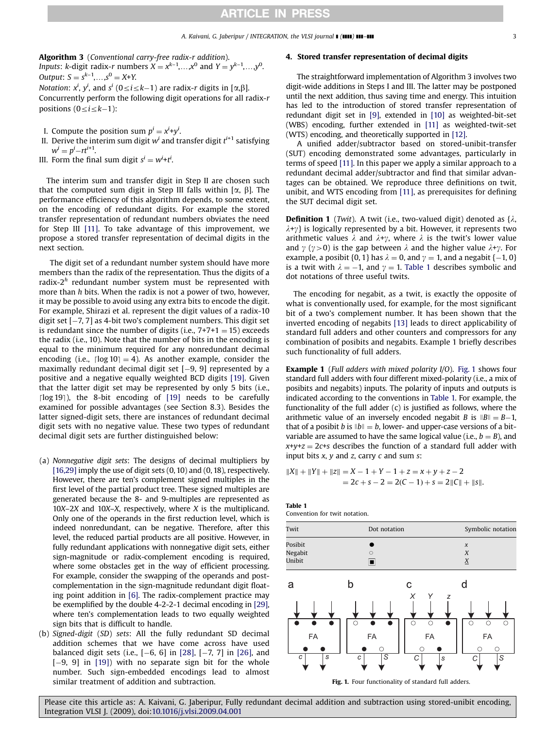<span id="page-2-0"></span>Algorithm 3 (Conventional carry-free radix-r addition). Inputs: k-digit radix-r numbers  $X = x^{k-1},...,x^0$  and  $Y = y^{k-1},...,y^0$ . Output:  $S = s^{k-1}, \ldots, s^0 = X+Y$ .

Notation:  $x^i$ ,  $y^i$ , and  $s^i$  (0 $\le$ i $\le$ k $-1$ ) are radix-r digits in [ $\alpha, \beta$ ].

Concurrently perform the following digit operations for all radix-r positions  $(0 \le i \le k-1)$ :

- I. Compute the position sum  $p^i = x^i+y^i$ .
- II. Derive the interim sum digit  $w^i$  and transfer digit  $t^{i+1}$  satisfying  $w^i = p^i - rt^{i+1}.$
- III. Form the final sum digit  $s^i = w^i + t^i$ .

The interim sum and transfer digit in Step II are chosen such that the computed sum digit in Step III falls within  $[\alpha, \beta]$ . The performance efficiency of this algorithm depends, to some extent, on the encoding of redundant digits. For example the stored transfer representation of redundant numbers obviates the need for Step III [\[11\].](#page-7-0) To take advantage of this improvement, we propose a stored transfer representation of decimal digits in the next section.

The digit set of a redundant number system should have more members than the radix of the representation. Thus the digits of a radix- $2<sup>h</sup>$  redundant number system must be represented with more than h bits. When the radix is not a power of two, however, it may be possible to avoid using any extra bits to encode the digit. For example, Shirazi et al. represent the digit values of a radix-10 digit set [-7, 7] as 4-bit two's complement numbers. This digit set is redundant since the number of digits (i.e.,  $7+7+1 = 15$ ) exceeds the radix (i.e., 10). Note that the number of bits in the encoding is equal to the minimum required for any nonredundant decimal encoding (i.e.,  $\lceil \log 10 \rceil = 4$ ). As another example, consider the maximally redundant decimal digit set [-9, 9] represented by a positive and a negative equally weighted BCD digits [\[19\]](#page-7-0). Given that the latter digit set may be represented by only 5 bits (i.e., [ $log 19$ ]), the 8-bit encoding of  $[19]$  needs to be carefully examined for possible advantages (see Section 8.3). Besides the latter signed-digit sets, there are instances of redundant decimal digit sets with no negative value. These two types of redundant decimal digit sets are further distinguished below:

- (a) Nonnegative digit sets: The designs of decimal multipliers by [\[16,29\]](#page-7-0) imply the use of digit sets  $(0, 10)$  and  $(0, 18)$ , respectively. However, there are ten's complement signed multiples in the first level of the partial product tree. These signed multiples are generated because the 8- and 9-multiples are represented as 10X–2X and 10X–X, respectively, where X is the multiplicand. Only one of the operands in the first reduction level, which is indeed nonredundant, can be negative. Therefore, after this level, the reduced partial products are all positive. However, in fully redundant applications with nonnegative digit sets, either sign-magnitude or radix-complement encoding is required, where some obstacles get in the way of efficient processing. For example, consider the swapping of the operands and postcomplementation in the sign-magnitude redundant digit floating point addition in [\[6\]](#page-7-0). The radix-complement practice may be exemplified by the double 4-2-2-1 decimal encoding in [\[29\],](#page-7-0) where ten's complementation leads to two equally weighted sign bits that is difficult to handle.
- (b) Signed-digit (SD) sets: All the fully redundant SD decimal addition schemes that we have come across have used balanced digit sets (i.e., [-6, 6] in [\[28\]](#page-7-0), [-7, 7] in [\[26\],](#page-7-0) and [-9, 9] in [\[19\]\)](#page-7-0) with no separate sign bit for the whole number. Such sign-embedded encodings lead to almost similar treatment of addition and subtraction.

#### 4. Stored transfer representation of decimal digits

The straightforward implementation of Algorithm 3 involves two digit-wide additions in Steps I and III. The latter may be postponed until the next addition, thus saving time and energy. This intuition has led to the introduction of stored transfer representation of redundant digit set in [\[9\]](#page-7-0), extended in [\[10\]](#page-7-0) as weighted-bit-set (WBS) encoding, further extended in [\[11\]](#page-7-0) as weighted-twit-set (WTS) encoding, and theoretically supported in [\[12\]](#page-7-0).

A unified adder/subtractor based on stored-unibit-transfer (SUT) encoding demonstrated some advantages, particularly in terms of speed [\[11\].](#page-7-0) In this paper we apply a similar approach to a redundant decimal adder/subtractor and find that similar advantages can be obtained. We reproduce three definitions on twit, unibit, and WTS encoding from [\[11\]](#page-7-0), as prerequisites for defining the SUT decimal digit set.

**Definition 1** (Twit). A twit (i.e., two-valued digit) denoted as  $\{\lambda, \lambda\}$  $\lambda + \gamma$  is logically represented by a bit. However, it represents two arithmetic values  $\lambda$  and  $\lambda + \gamma$ , where  $\lambda$  is the twit's lower value and  $\gamma$  ( $\gamma > 0$ ) is the gap between  $\lambda$  and the higher value  $\lambda + \gamma$ . For example, a posibit {0, 1} has  $\lambda = 0$ , and  $\gamma = 1$ , and a negabit {-1, 0} is a twit with  $\lambda = -1$ , and  $\gamma = 1$ . Table 1 describes symbolic and dot notations of three useful twits.

The encoding for negabit, as a twit, is exactly the opposite of what is conventionally used, for example, for the most significant bit of a two's complement number. It has been shown that the inverted encoding of negabits [\[13\]](#page-7-0) leads to direct applicability of standard full adders and other counters and compressors for any combination of posibits and negabits. Example 1 briefly describes such functionality of full adders.

**Example 1** (Full adders with mixed polarity I/O). Fig. 1 shows four standard full adders with four different mixed-polarity (i.e., a mix of posibits and negabits) inputs. The polarity of inputs and outputs is indicated according to the conventions in Table 1. For example, the functionality of the full adder (c) is justified as follows, where the arithmetic value of an inversely encoded negabit *B* is  $||B|| = B-1$ , that of a posibit b is  $||b|| = b$ , lower- and upper-case versions of a bitvariable are assumed to have the same logical value (i.e.,  $b = B$ ), and  $x+y+z = 2c+s$  describes the function of a standard full adder with input bits  $x$ ,  $y$  and  $z$ , carry  $c$  and sum  $s$ :

$$
||X|| + ||Y|| + ||Z|| = X - 1 + Y - 1 + z = x + y + z - 2
$$
  
= 2c + s - 2 = 2(C - 1) + s = 2||C|| + ||s||.

Table 1



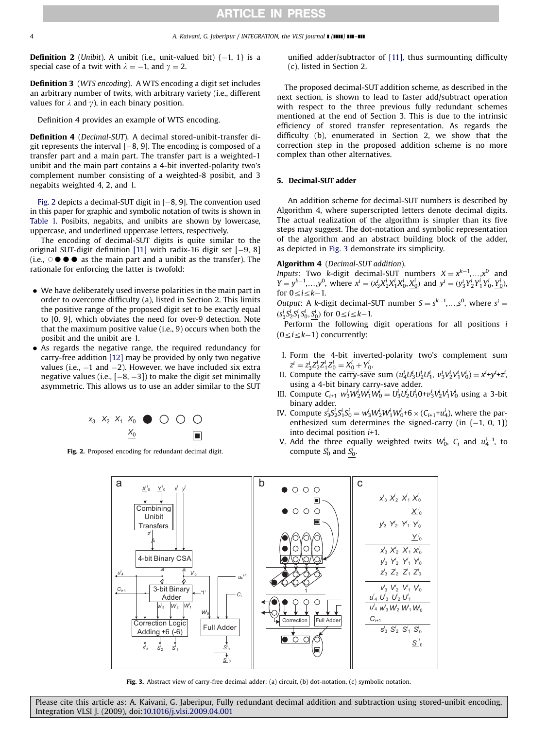<span id="page-3-0"></span>**Definition 2** (Unibit). A unibit (i.e., unit-valued bit)  $\{-1, 1\}$  is a special case of a twit with  $\lambda = -1$ , and  $\gamma = 2$ .

Definition 3 (WTS encoding). A WTS encoding a digit set includes an arbitrary number of twits, with arbitrary variety (i.e., different values for  $\lambda$  and  $\gamma$ ), in each binary position.

Definition 4 provides an example of WTS encoding.

Definition 4 (Decimal-SUT). A decimal stored-unibit-transfer digit represents the interval [-8, 9]. The encoding is composed of a transfer part and a main part. The transfer part is a weighted-1 unibit and the main part contains a 4-bit inverted-polarity two's complement number consisting of a weighted-8 posibit, and 3 negabits weighted 4, 2, and 1.

Fig. 2 depicts a decimal-SUT digit in [-8, 9]. The convention used in this paper for graphic and symbolic notation of twits is shown in [Table 1.](#page-2-0) Posibits, negabits, and unibits are shown by lowercase, uppercase, and underlined uppercase letters, respectively.

The encoding of decimal-SUT digits is quite similar to the original SUT-digit definition [\[11\]](#page-7-0) with radix-16 digit set [-9, 8] (i.e.,  $\circ \bullet \bullet \bullet$  as the main part and a unibit as the transfer). The rationale for enforcing the latter is twofold:

- We have deliberately used inverse polarities in the main part in order to overcome difficulty (a), listed in Section 2. This limits the positive range of the proposed digit set to be exactly equal to [0, 9], which obviates the need for over-9 detection. Note that the maximum positive value (i.e., 9) occurs when both the posibit and the unibit are 1.
- As regards the negative range, the required redundancy for carry-free addition [\[12\]](#page-7-0) may be provided by only two negative values (i.e., –1 and –2). However, we have included six extra negative values (i.e., [-8, -3]) to make the digit set minimally asymmetric. This allows us to use an adder similar to the SUT



Fig. 2. Proposed encoding for redundant decimal digit.

unified adder/subtractor of [\[11\],](#page-7-0) thus surmounting difficulty (c), listed in Section 2.

The proposed decimal-SUT addition scheme, as described in the next section, is shown to lead to faster add/subtract operation with respect to the three previous fully redundant schemes mentioned at the end of Section 3. This is due to the intrinsic efficiency of stored transfer representation. As regards the difficulty (b), enumerated in Section 2, we show that the correction step in the proposed addition scheme is no more complex than other alternatives.

#### 5. Decimal-SUT adder

An addition scheme for decimal-SUT numbers is described by Algorithm 4, where superscripted letters denote decimal digits. The actual realization of the algorithm is simpler than its five steps may suggest. The dot-notation and symbolic representation of the algorithm and an abstract building block of the adder, as depicted in Fig. 3 demonstrate its simplicity.

#### Algorithm 4 (Decimal-SUT addition).

Inputs: Two k-digit decimal-SUT numbers  $X = x^{k-1},...,x^0$  and  $Y = y^{k-1}, \ldots, y^0$ , where  $x^i = (x^i_3 X^i_2 X^i_1 X^i_0, X^i_0)$  and  $y^i = (y^i_3 Y^i_2 Y^i_1 Y^i_0, Y^i_0)$ for  $0 \le i \le k-1$ .

Output: A k-digit decimal-SUT number  $S = s^{k-1}, \ldots, s^0$ , where  $s^i =$  $(s_3^i S_2^i S_1^i S_0^i, \underline{S_0^i})$  for  $0 \le i \le k-1$ .

Perform the following digit operations for all positions  $i$  $(0 \le i \le k-1)$  concurrently:

- I. Form the 4-bit inverted-polarity two's complement sum  $z^i = z_3^i z_2^i z_1^i z_0^i = \frac{X_0^i}{i} + \frac{Y_0^i}{i}$
- II. Compute the carry-save sum  $(u_4^i U_3^i U_2^i U_1^i, v_3^i V_2^i V_1^i V_0^i) = x^i + y^i + z^i$ using a 4-bit binary carry-save adder.
- III. Compute  $C_{i+1} w_3^i W_2^i W_1^i W_0^i = U_3^i U_2^i U_1^i 0 + v_3^i V_2^i V_1^i V_0^i$  using a 3-bit binary adder.
- IV. Compute  $s_3^i s_2^i s_1^i s_0^i = w_3^i w_2^i w_1^i w_0^i + 6 \times (C_{i+1} + u_4^i)$ , where the parenthesized sum determines the signed-carry (in  $\{-1, 0, 1\}$ ) into decimal position i+1.
- V. Add the three equally weighted twits  $W_0^i$ ,  $C_i$  and  $u_4^{i-1}$ , to compute  $S_0^i$  and  $S_0^i$ .



Fig. 3. Abstract view of carry-free decimal adder: (a) circuit, (b) dot-notation, (c) symbolic notation.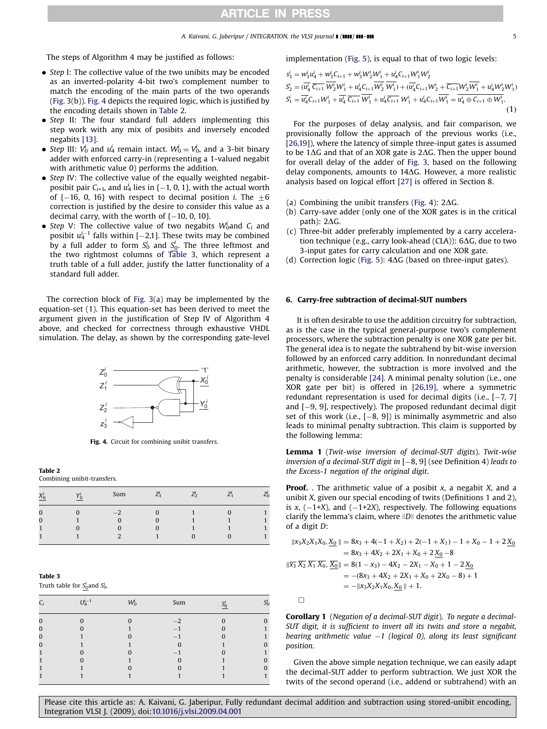### ARTICLE IN PRESS

#### A. Kaivani, G. Jaberipur / INTEGRATION, the VLSI journal  $\blacksquare$  ( $\blacksquare$ )  $\blacksquare$   $\blacksquare$

The steps of Algorithm 4 may be justified as follows:

- Step I: The collective value of the two unibits may be encoded as an inverted-polarity 4-bit two's complement number to match the encoding of the main parts of the two operands ([Fig. 3\(](#page-3-0)b)). Fig. 4 depicts the required logic, which is justified by the encoding details shown in Table 2.
- Step II: The four standard full adders implementing this step work with any mix of posibits and inversely encoded negabits [\[13\].](#page-7-0)
- Step III:  $V_0^i$  and  $u_4^i$  remain intact.  $W_0^i = V_0^i$ , and a 3-bit binary adder with enforced carry-in (representing a 1-valued negabit with arithmetic value 0) performs the addition.
- Step IV: The collective value of the equally weighted negabitposibit pair  $C_{i+1}$ , and  $u_4^i$  lies in {–1, 0, 1}, with the actual worth of {–16, 0, 16} with respect to decimal position  $i$ . The  $\pm 6$ correction is justified by the desire to consider this value as a decimal carry, with the worth of  $\{-10,\,0,\,10\}$ .
- Step V: The collective value of two negabits  $W_0^i$  and  $C_i$  and posibit  $u_4^{i-1}$  falls within [ $-2,1$ ]. These twits may be combined by a full adder to form  $S_0^i$  and  $S_0^i$ . The three leftmost and the two rightmost columns of Table 3, which represent a truth table of a full adder, justify the latter functionality of a standard full adder.

The correction block of [Fig. 3](#page-3-0)(a) may be implemented by the equation-set (1). This equation-set has been derived to meet the argument given in the justification of Step IV of Algorithm 4 above, and checked for correctness through exhaustive VHDL simulation. The delay, as shown by the corresponding gate-level



Fig. 4. Circuit for combining unibit transfers.

#### Table 2

Combining unibit-transfers.

| $X^l_0$  | Sum | 2 <sub>3</sub> | $\overline{\phantom{a}}$<br>$L_2$ | - |  |
|----------|-----|----------------|-----------------------------------|---|--|
| $\Omega$ |     |                |                                   |   |  |
| 0        |     |                |                                   |   |  |
|          |     |                |                                   |   |  |
|          |     |                |                                   |   |  |

#### Table 3

Truth table for  $S^i_0$  and  $S^i_0$ .

| $C_i$ | $I$ $I^{i-1}$ | $W_0^l$ | Sum |  |
|-------|---------------|---------|-----|--|
|       |               |         |     |  |
|       |               |         |     |  |
|       |               |         | -   |  |
|       |               |         |     |  |
|       |               |         | -   |  |
|       |               |         |     |  |
|       |               |         |     |  |
|       |               |         |     |  |

implementation ([Fig. 5\)](#page-5-0), is equal to that of two logic levels:

$$
s_2^i = w_3^i u_4^i + w_3^i C_{i+1} + w_3^i W_2^i W_1^i + u_4^i C_{i+1} W_1^i W_2^i
$$
  
\n
$$
s_2^i = (\overline{u_4^i} \ \overline{C_{i+1}} \ \overline{W_2^i} W_1^i + u_4^i C_{i+1} \overline{W_2^i} \ \overline{W_1^i}) + (\overline{u_4^i} C_{i+1} W_2^i + \overline{C_{i+1}} W_2^i \overline{W_1^i} + u_4^i W_2^i W_1^i)
$$
  
\n
$$
s_1^i = \overline{u_4^i} C_{i+1} W_1^i + \overline{u_4^i} \ \overline{C_{i+1}} \ \overline{W_1^i} + u_4^i \overline{C_{i+1}} \ W_1^i + u_4^i C_{i+1} \overline{W_1^i} = \overline{u_4^i} \oplus C_{i+1} \oplus W_1^i.
$$
\n(1)

For the purposes of delay analysis, and fair comparison, we provisionally follow the approach of the previous works (i.e., [\[26,19\]\)](#page-7-0), where the latency of simple three-input gates is assumed to be 1 $\Delta G$  and that of an XOR gate is 2 $\Delta G$ . Then the upper bound for overall delay of the adder of [Fig. 3,](#page-3-0) based on the following delay components, amounts to  $14\Delta G$ . However, a more realistic analysis based on logical effort [\[27\]](#page-7-0) is offered in Section 8.

- (a) Combining the unibit transfers (Fig. 4):  $2\Delta G$ .
- (b) Carry-save adder (only one of the XOR gates is in the critical path):  $2\Delta G$ .
- (c) Three-bit adder preferably implemented by a carry acceleration technique (e.g., carry look-ahead (CLA)):  $6\Delta G$ , due to two 3-input gates for carry calculation and one XOR gate.
- (d) Correction logic [\(Fig. 5\)](#page-5-0):  $4\Delta G$  (based on three-input gates).

#### 6. Carry-free subtraction of decimal-SUT numbers

It is often desirable to use the addition circuitry for subtraction, as is the case in the typical general-purpose two's complement processors, where the subtraction penalty is one XOR gate per bit. The general idea is to negate the subtrahend by bit-wise inversion followed by an enforced carry addition. In nonredundant decimal arithmetic, however, the subtraction is more involved and the penalty is considerable [\[24\]](#page-7-0). A minimal penalty solution (i.e., one XOR gate per bit) is offered in [\[26,19\]](#page-7-0), where a symmetric redundant representation is used for decimal digits (i.e.,  $[-7, 7]$ and [-9, 9], respectively). The proposed redundant decimal digit set of this work (i.e., [-8, 9]) is minimally asymmetric and also leads to minimal penalty subtraction. This claim is supported by the following lemma:

Lemma 1 (Twit-wise inversion of decimal-SUT digits). Twit-wise inversion of a decimal-SUT digit in  $[-8, 9]$  (see Definition 4) leads to the Excess-1 negation of the original digit.

**Proof.** . The arithmetic value of a posibit  $x$ , a negabit  $X$ , and a unibit X, given our special encoding of twits (Definitions 1 and 2), is x,  $(-1+X)$ , and  $(-1+2X)$ , respectively. The following equations clarify the lemma's claim, where  $ID$  denotes the arithmetic value of a digit D:

$$
\|x_3 X_2 X_1 X_0, \underline{X_0}\| = 8x_3 + 4(-1 + X_2) + 2(-1 + X_1) - 1 + X_0 - 1 + 2\underline{X_0}
$$
  
= 8x\_3 + 4X\_2 + 2X\_1 + X\_0 + 2\underline{X\_0} - 8  

$$
\|\overline{x_3}\ \overline{X_2}\ \overline{X_1}\ \overline{X_0}, \overline{X_0}\| = 8(1 - x_3) - 4X_2 - 2X_1 - X_0 + 1 - 2\underline{X_0}
$$
  
= -(8x\_3 + 4X\_2 + 2X\_1 + X\_0 + 2X\_0 - 8) + 1  
= -\|x\_3 X\_2 X\_1 X\_0, \underline{X\_0}\| + 1.

Corollary 1 (Negation of a decimal-SUT digit). To negate a decimal-SUT digit, it is sufficient to invert all its twits and store a negabit, bearing arithmetic value -1 (logical 0), along its least significant position.

Given the above simple negation technique, we can easily adapt the decimal-SUT adder to perform subtraction. We just XOR the twits of the second operand (i.e., addend or subtrahend) with an

Please cite this article as: A. Kaivani, G. Jaberipur, Fully redundant decimal addition and subtraction using stored-unibit encoding, Integration VLSI J. (2009), doi[:10.1016/j.vlsi.2009.04.001](dx.doi.org/10.1016/j.vlsi.2009.04.001)

 $\Box$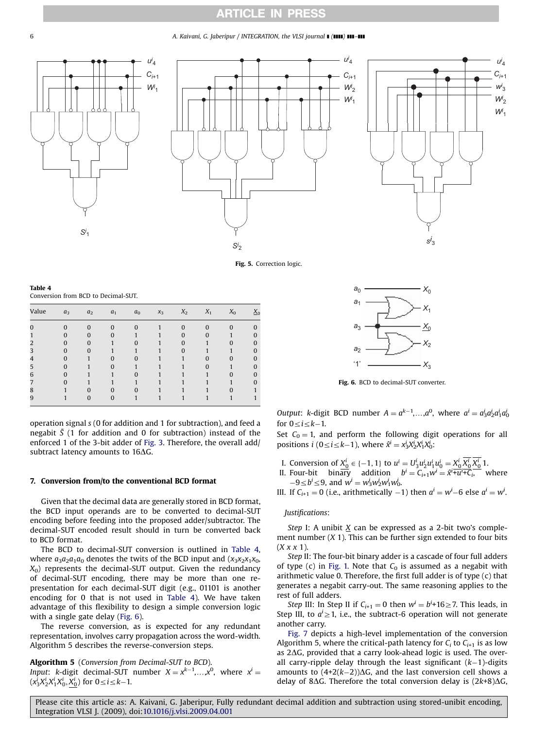### ARTICLE IN PRESS

<span id="page-5-0"></span>6 **A. Kaivani, G. Jaberipur / INTEGRATION, the VLSI journal <b>[ (IIII) III-III**</mark>







Fig. 5. Correction logic.

| Table 4                             |  |  |
|-------------------------------------|--|--|
| Conversion from BCD to Decimal-SUT. |  |  |

| Value | $a_3$    | a <sub>2</sub> | a <sub>1</sub> | a <sub>0</sub> | $x_3$ | $X_2$    | $X_1$    | $X_0$        | $X_0$    |
|-------|----------|----------------|----------------|----------------|-------|----------|----------|--------------|----------|
|       | $\Omega$ | $\Omega$       | $\bf{0}$       | $\mathbf{0}$   |       | $\Omega$ | $\Omega$ | $\mathbf{0}$ | $\Omega$ |
|       | O        | $\Omega$       | $\Omega$       |                |       | $\Omega$ | $\Omega$ |              | $\Omega$ |
|       | O        | $\Omega$       |                | $\Omega$       |       | $\Omega$ |          | $\Omega$     | $\Omega$ |
|       | O        | $\Omega$       |                |                |       | $\Omega$ |          |              | $\Omega$ |
|       |          |                | $\Omega$       | 0              |       |          |          | O            | 0        |
| ר     |          |                | $\Omega$       |                |       |          |          |              | 0        |
| 6     |          |                |                | O              |       |          |          | O            | 0        |
|       |          |                |                |                |       |          |          |              | 0        |
| 8     |          | $\Omega$       | $\Omega$       | $\Omega$       |       |          |          | $\Omega$     |          |
| 9     |          | $\Omega$       | $\bf{0}$       |                |       |          |          |              |          |

*ui* 4

*Wi* 1

operation signal s (0 for addition and 1 for subtraction), and feed a negabit  $\bar{S}$  (1 for addition and 0 for subtraction) instead of the enforced 1 of the 3-bit adder of [Fig. 3](#page-3-0). Therefore, the overall add/ subtract latency amounts to  $16\Delta G$ .

#### 7. Conversion from/to the conventional BCD format

Given that the decimal data are generally stored in BCD format, the BCD input operands are to be converted to decimal-SUT encoding before feeding into the proposed adder/subtractor. The decimal-SUT encoded result should in turn be converted back to BCD format.

The BCD to decimal-SUT conversion is outlined in Table 4, where  $a_3a_2a_1a_0$  denotes the twits of the BCD input and  $(x_3x_2x_1x_0,$  $X_0$ ) represents the decimal-SUT output. Given the redundancy of decimal-SUT encoding, there may be more than one representation for each decimal-SUT digit (e.g., 01101 is another encoding for 0 that is not used in Table 4). We have taken advantage of this flexibility to design a simple conversion logic with a single gate delay (Fig. 6).

The reverse conversion, as is expected for any redundant representation, involves carry propagation across the word-width. Algorithm 5 describes the reverse-conversion steps.

Algorithm 5 (Conversion from Decimal-SUT to BCD). Input: k-digit decimal-SUT number  $X = x^{k-1},...,x^0$ , where  $x^i = x^i$  $(x_3^i X_2^i X_1^i X_0^i, X_0^i)$  for  $0 \le i \le k-1$ .



Fig. 6. BCD to decimal-SUT converter.

Output: k-digit BCD number  $A = a^{k-1},...,a^0$ , where  $a^i = a_3^i a_2^i a_1^i a_0^i$ for  $0 \le i \le k-1$ .

Set  $C_0 = 1$ , and perform the following digit operations for all positions  $i$  (0  $\leq i \leq k-1$ ), where  $\hat{x}^i = x^i_3 X^i_2 X^i_1 X^i_0$ :

- I. Conversion of  $X_0^i \in \{-1, 1\}$  to  $u^i = U_3^i u_2^i u_1^i u_0^i = X_0^i X_0^i X_0^i 1$ .
- II. Four-bit binary addition  $b^i = C_{i+1}w^i = \hat{x}^i + u^i + C_i$  where  $-9 \le b^i \le 9$ , and  $w^i = w^i_3 w^i_2 w^i_1 w^i_0$ .

III. If  $C_{i+1} = 0$  (i.e., arithmetically  $-1$ ) then  $a^i = w^i - 6$  else  $a^i = w^i$ .

#### Justifications:

Step I: A unibit  $X$  can be expressed as a 2-bit two's complement number  $(X 1)$ . This can be further sign extended to four bits  $(X x x 1)$ .

Step II: The four-bit binary adder is a cascade of four full adders of type (c) in [Fig. 1.](#page-2-0) Note that  $C_0$  is assumed as a negabit with arithmetic value 0. Therefore, the first full adder is of type (c) that generates a negabit carry-out. The same reasoning applies to the rest of full adders.

*Step* III: In Step II if  $C_{i+1} = 0$  then  $w^i = b^{i+1}$   $6 \ge 7$ . This leads, in Step III, to  $a^i \geq 1$ , i.e., the subtract-6 operation will not generate another carry.

[Fig. 7](#page-6-0) depicts a high-level implementation of the conversion Algorithm 5, where the critical-path latency for  $C_i$  to  $C_{i+1}$  is as low as  $2\Delta G$ , provided that a carry look-ahead logic is used. The overall carry-ripple delay through the least significant  $(k-1)$ -digits amounts to  $(4+2(k-2))\Delta G$ , and the last conversion cell shows a delay of 8 $\Delta G$ . Therefore the total conversion delay is  $(2k+8)\Delta G$ ,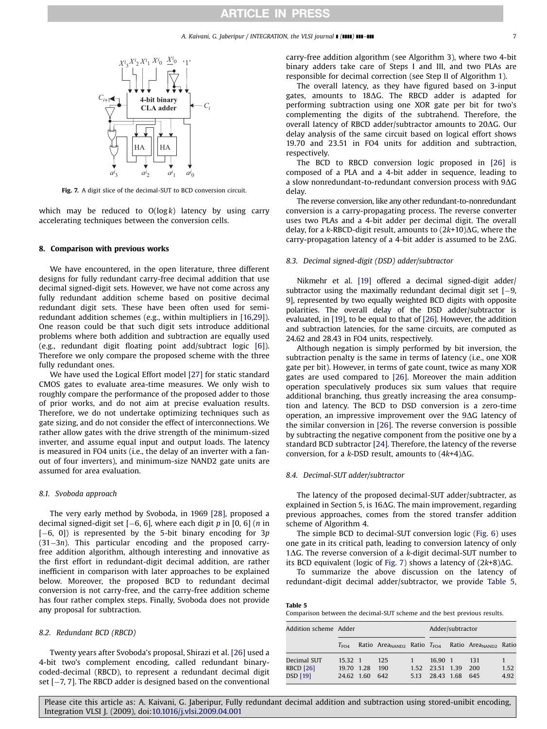<span id="page-6-0"></span>

Fig. 7. A digit slice of the decimal-SUT to BCD conversion circuit.

which may be reduced to  $O(log k)$  latency by using carry accelerating techniques between the conversion cells.

#### 8. Comparison with previous works

We have encountered, in the open literature, three different designs for fully redundant carry-free decimal addition that use decimal signed-digit sets. However, we have not come across any fully redundant addition scheme based on positive decimal redundant digit sets. These have been often used for semiredundant addition schemes (e.g., within multipliers in [\[16,29\]\)](#page-7-0). One reason could be that such digit sets introduce additional problems where both addition and subtraction are equally used (e.g., redundant digit floating point add/subtract logic [\[6\]\)](#page-7-0). Therefore we only compare the proposed scheme with the three fully redundant ones.

We have used the Logical Effort model [\[27\]](#page-7-0) for static standard CMOS gates to evaluate area-time measures. We only wish to roughly compare the performance of the proposed adder to those of prior works, and do not aim at precise evaluation results. Therefore, we do not undertake optimizing techniques such as gate sizing, and do not consider the effect of interconnections. We rather allow gates with the drive strength of the minimum-sized inverter, and assume equal input and output loads. The latency is measured in FO4 units (i.e., the delay of an inverter with a fanout of four inverters), and minimum-size NAND2 gate units are assumed for area evaluation.

#### 8.1. Svoboda approach

The very early method by Svoboda, in 1969 [\[28\]](#page-7-0), proposed a decimal signed-digit set  $[-6, 6]$ , where each digit p in  $[0, 6]$  (n in [-6, 0]) is represented by the 5-bit binary encoding for 3p (31-3n). This particular encoding and the proposed carryfree addition algorithm, although interesting and innovative as the first effort in redundant-digit decimal addition, are rather inefficient in comparison with later approaches to be explained below. Moreover, the proposed BCD to redundant decimal conversion is not carry-free, and the carry-free addition scheme has four rather complex steps. Finally, Svoboda does not provide any proposal for subtraction.

#### 8.2. Redundant BCD (RBCD)

Twenty years after Svoboda's proposal, Shirazi et al. [\[26\]](#page-7-0) used a 4-bit two's complement encoding, called redundant binarycoded-decimal (RBCD), to represent a redundant decimal digit set [-7, 7]. The RBCD adder is designed based on the conventional

carry-free addition algorithm (see Algorithm 3), where two 4-bit binary adders take care of Steps I and III, and two PLAs are responsible for decimal correction (see Step II of Algorithm 1).

The overall latency, as they have figured based on 3-input gates, amounts to 18 $\Delta G$ . The RBCD adder is adapted for performing subtraction using one XOR gate per bit for two's complementing the digits of the subtrahend. Therefore, the overall latency of RBCD adder/subtractor amounts to  $20\Delta G$ . Our delay analysis of the same circuit based on logical effort shows 19.70 and 23.51 in FO4 units for addition and subtraction, respectively.

The BCD to RBCD conversion logic proposed in [\[26\]](#page-7-0) is composed of a PLA and a 4-bit adder in sequence, leading to a slow nonredundant-to-redundant conversion process with  $9\Delta G$ delay.

The reverse conversion, like any other redundant-to-nonredundant conversion is a carry-propagating process. The reverse converter uses two PLAs and a 4-bit adder per decimal digit. The overall delay, for a k-RBCD-digit result, amounts to  $(2k+10)\Delta G$ , where the carry-propagation latency of a 4-bit adder is assumed to be  $2\Delta G$ .

#### 8.3. Decimal signed-digit (DSD) adder/subtractor

Nikmehr et al. [\[19\]](#page-7-0) offered a decimal signed-digit adder/ subtractor using the maximally redundant decimal digit set  $[-9,$ 9], represented by two equally weighted BCD digits with opposite polarities. The overall delay of the DSD adder/subtractor is evaluated, in [\[19\],](#page-7-0) to be equal to that of [\[26\].](#page-7-0) However, the addition and subtraction latencies, for the same circuits, are computed as 24.62 and 28.43 in FO4 units, respectively.

Although negation is simply performed by bit inversion, the subtraction penalty is the same in terms of latency (i.e., one XOR gate per bit). However, in terms of gate count, twice as many XOR gates are used compared to [\[26\]](#page-7-0). Moreover the main addition operation speculatively produces six sum values that require additional branching, thus greatly increasing the area consumption and latency. The BCD to DSD conversion is a zero-time operation, an impressive improvement over the  $9\Delta G$  latency of the similar conversion in [\[26\]](#page-7-0). The reverse conversion is possible by subtracting the negative component from the positive one by a standard BCD subtractor [\[24\]](#page-7-0). Therefore, the latency of the reverse conversion, for a k-DSD result, amounts to  $(4k+4)\Delta G$ .

#### 8.4. Decimal-SUT adder/subtractor

The latency of the proposed decimal-SUT adder/subtracter, as explained in Section 5, is 16 $\Delta$ G. The main improvement, regarding previous approaches, comes from the stored transfer addition scheme of Algorithm 4.

The simple BCD to decimal-SUT conversion logic ([Fig. 6\)](#page-5-0) uses one gate in its critical path, leading to conversion latency of only  $1\Delta G$ . The reverse conversion of a k-digit decimal-SUT number to its BCD equivalent (logic of Fig. 7) shows a latency of  $(2k+8)\Delta G$ .

To summarize the above discussion on the latency of redundant-digit decimal adder/subtractor, we provide Table 5,

| Table 5                                                                 |  |  |  |  |  |
|-------------------------------------------------------------------------|--|--|--|--|--|
| Comparison between the decimal-SUT scheme and the best previous results |  |  |  |  |  |

| Addition scheme Adder |                  |  |     |      | Adder/subtractor |  |                                                                               |      |
|-----------------------|------------------|--|-----|------|------------------|--|-------------------------------------------------------------------------------|------|
|                       | $T_{\text{FOL}}$ |  |     |      |                  |  | Ratio Area <sub>NAND2</sub> Ratio $T_{FO4}$ Ratio Area <sub>NAND2</sub> Ratio |      |
| Decimal SUT           | 15.32 1          |  | 125 |      | 16.90 1          |  | 131                                                                           |      |
| <b>RBCD [26]</b>      | 19.70 1.28       |  | 190 | 1.52 | 23.51 1.39       |  | -200                                                                          | 1.52 |
| <b>DSD</b> [19]       | 24.62 1.60       |  | 642 | 5.13 | 28.43 1.68       |  | 645                                                                           | 4.92 |